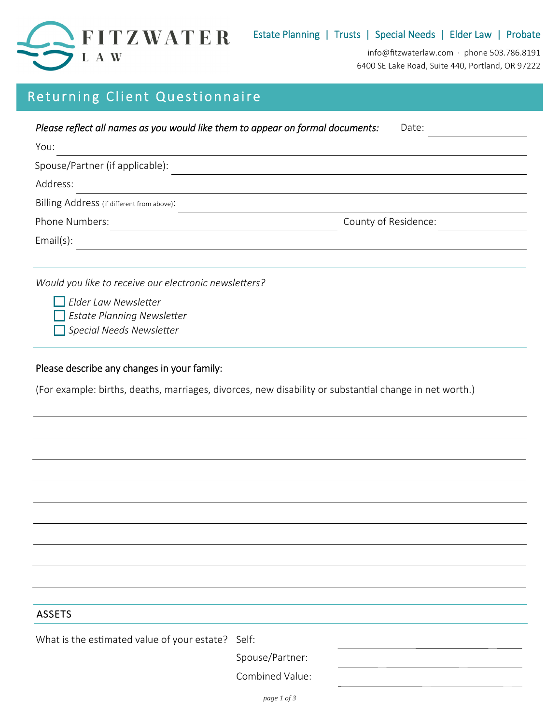

info@fitzwaterlaw.com · phone 503.786.8191 6400 SE Lake Road, Suite 440, Portland, OR 97222

| Please reflect all names as you would like them to appear on formal documents: | Date:                |
|--------------------------------------------------------------------------------|----------------------|
| You:                                                                           |                      |
| Spouse/Partner (if applicable):                                                |                      |
| Address:                                                                       |                      |
| Billing Address (if different from above):                                     |                      |
| Phone Numbers:                                                                 | County of Residence: |
| $Email(s)$ :                                                                   |                      |
| Would you like to receive our electronic newsletters?                          |                      |
| Elder Law Newsletter                                                           |                      |
| <b>Estate Planning Newsletter</b>                                              |                      |
| Special Needs Newsletter                                                       |                      |

# ASSETS

What is the estimated value of your estate? Self:

Spouse/Partner:

Combined Value: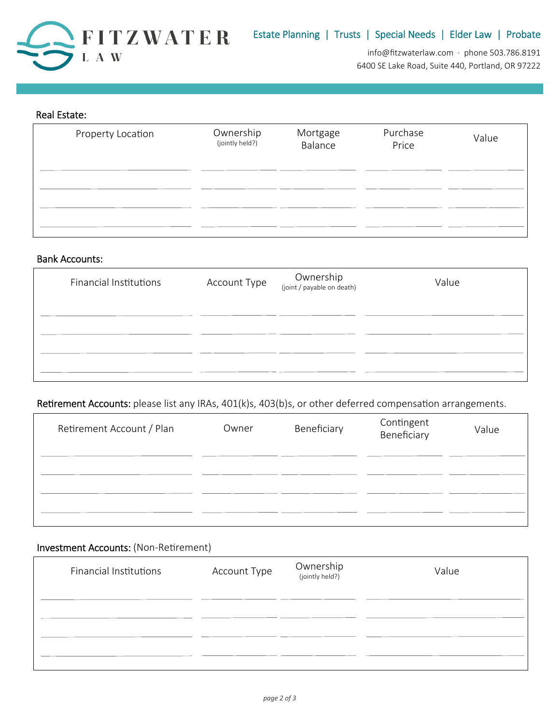

info@fitzwaterlaw.com · phone 503.786.8191 6400 SE Lake Road, Suite 440, Portland, OR 97222

## Real Estate:

| Property Location | Ownership<br>(jointly held?) | Mortgage<br>Balance | Purchase<br>Price | Value |
|-------------------|------------------------------|---------------------|-------------------|-------|
|                   |                              |                     |                   |       |
|                   |                              |                     |                   |       |
|                   |                              |                     |                   |       |

#### Bank Accounts:

| Financial Institutions | Account Type | Ownership<br>(joint / payable on death) | Value |
|------------------------|--------------|-----------------------------------------|-------|
|                        |              |                                         |       |
|                        |              |                                         |       |
|                        |              |                                         |       |

## Retirement Accounts: please list any IRAs, 401(k)s, 403(b)s, or other deferred compensation arrangements.

| Retirement Account / Plan | Owner | Beneficiary | Contingent<br>Beneficiary | Value |
|---------------------------|-------|-------------|---------------------------|-------|
|                           |       |             |                           |       |
|                           |       |             |                           |       |
|                           |       |             |                           |       |

## Investment Accounts: (Non-Retirement)

| Financial Institutions | Account Type | Ownership<br>(jointly held?) | Value |
|------------------------|--------------|------------------------------|-------|
|                        |              |                              |       |
|                        |              |                              |       |
|                        |              |                              |       |